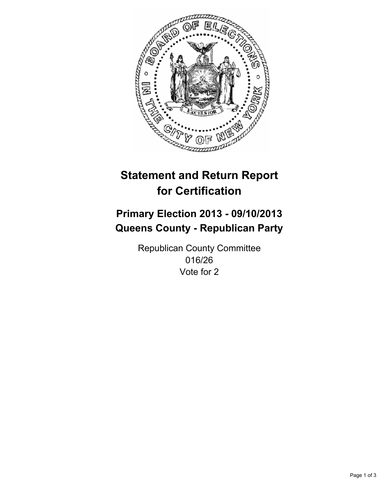

# **Statement and Return Report for Certification**

## **Primary Election 2013 - 09/10/2013 Queens County - Republican Party**

Republican County Committee 016/26 Vote for 2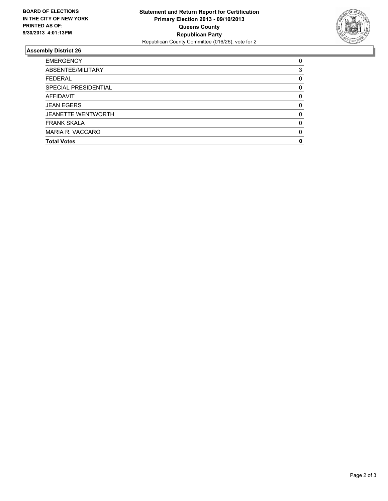

## **Assembly District 26**

| <b>EMERGENCY</b>            | 0        |
|-----------------------------|----------|
| ABSENTEE/MILITARY           | 3        |
| <b>FEDERAL</b>              | 0        |
| <b>SPECIAL PRESIDENTIAL</b> | 0        |
| <b>AFFIDAVIT</b>            | 0        |
| <b>JEAN EGERS</b>           | $\Omega$ |
| <b>JEANETTE WENTWORTH</b>   | $\Omega$ |
| <b>FRANK SKALA</b>          | $\Omega$ |
| MARIA R. VACCARO            | $\Omega$ |
| <b>Total Votes</b>          | 0        |